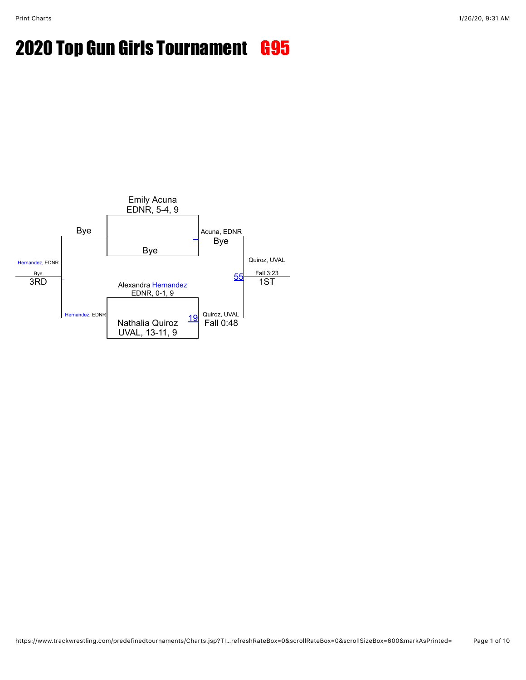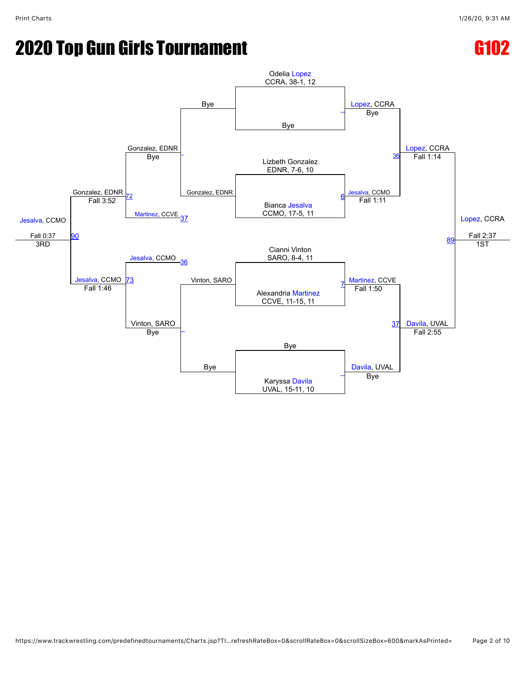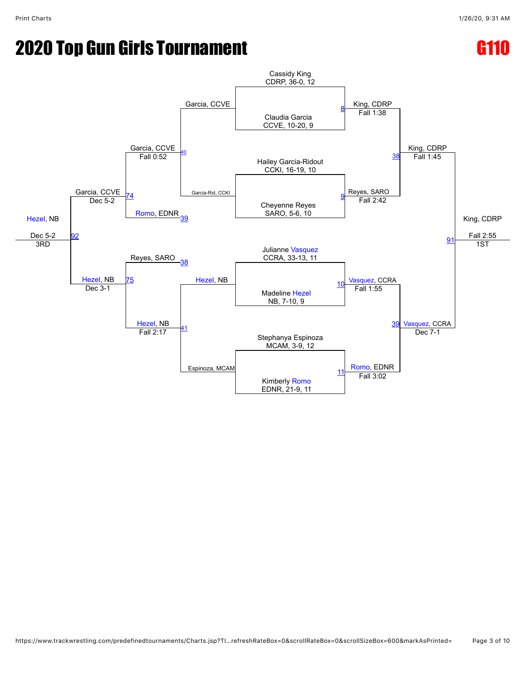### **2020 Top Gun Girls Tournament G1100 Control Control Control Control Control Control Control Control Control Co**

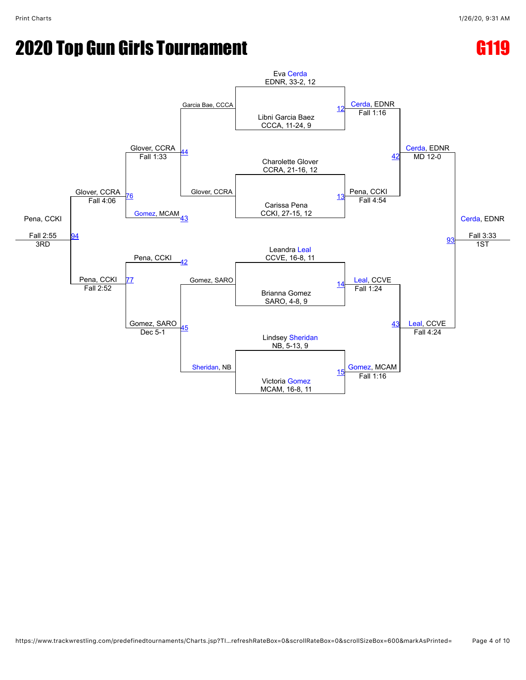### **2020 Top Gun Girls Tournament Contract Contract Contract Contract Contract Contract Contract Contract Contract Contract Contract Contract Contract Contract Contract Contract Contract Contract Contract Contract Contract Co**

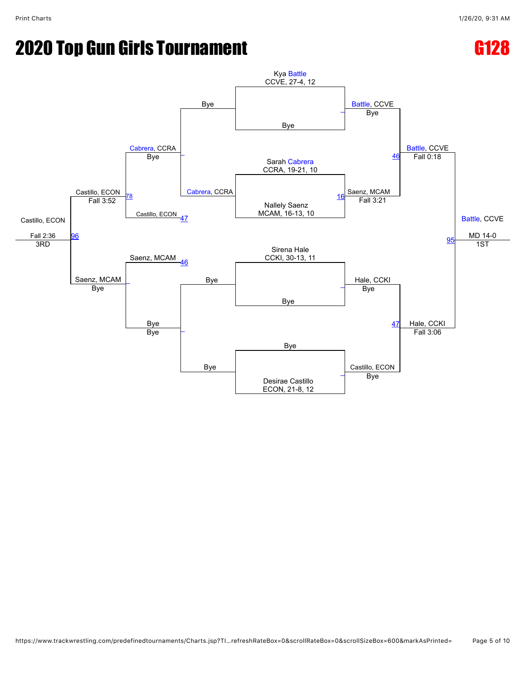### **2020 Top Gun Girls Tournament G1288 2020 Top G128**

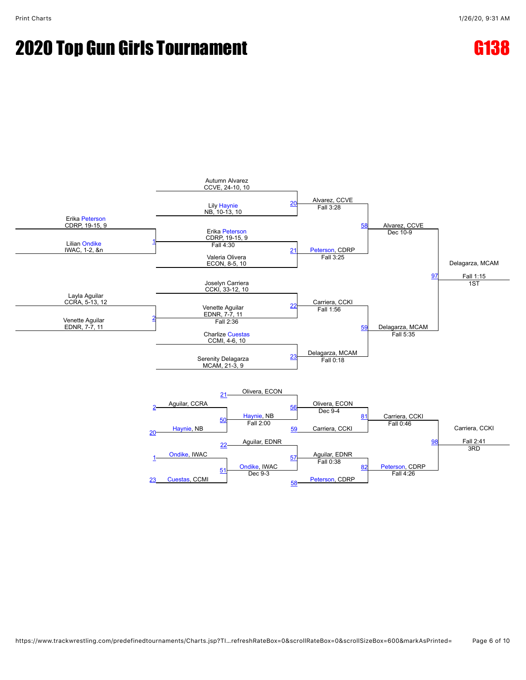

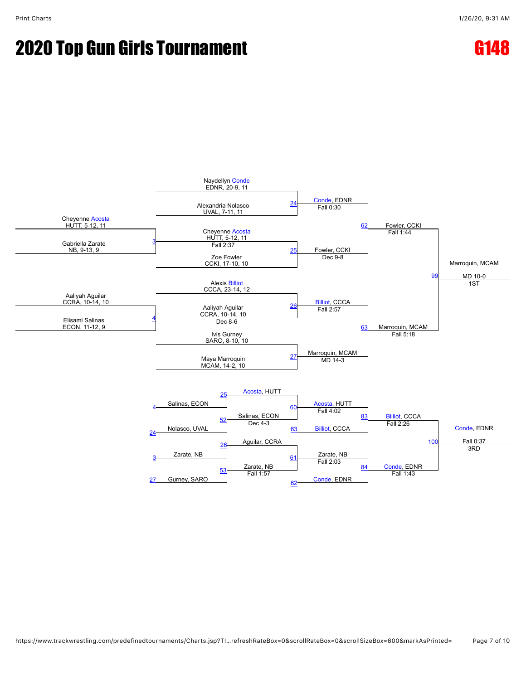

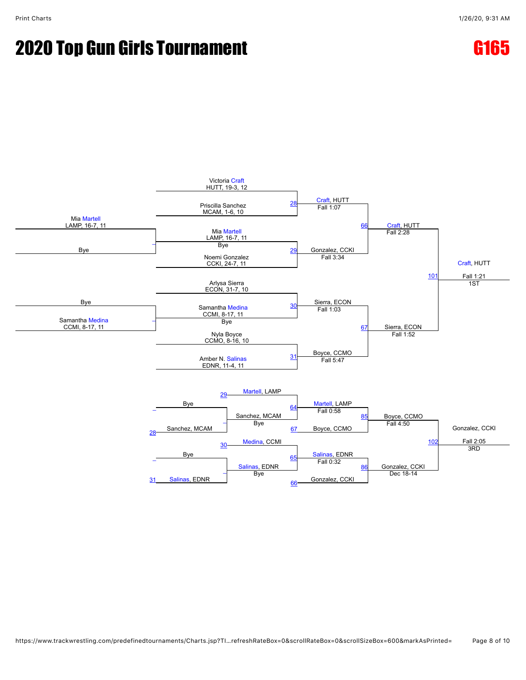## **2020 Top Gun Girls Tournament Contract Contract G165**



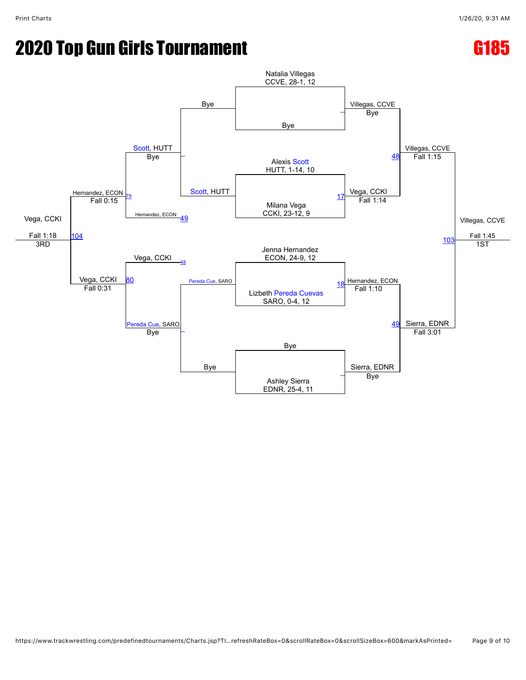## **2020 Top Gun Girls Tournament Contract Contract G185**